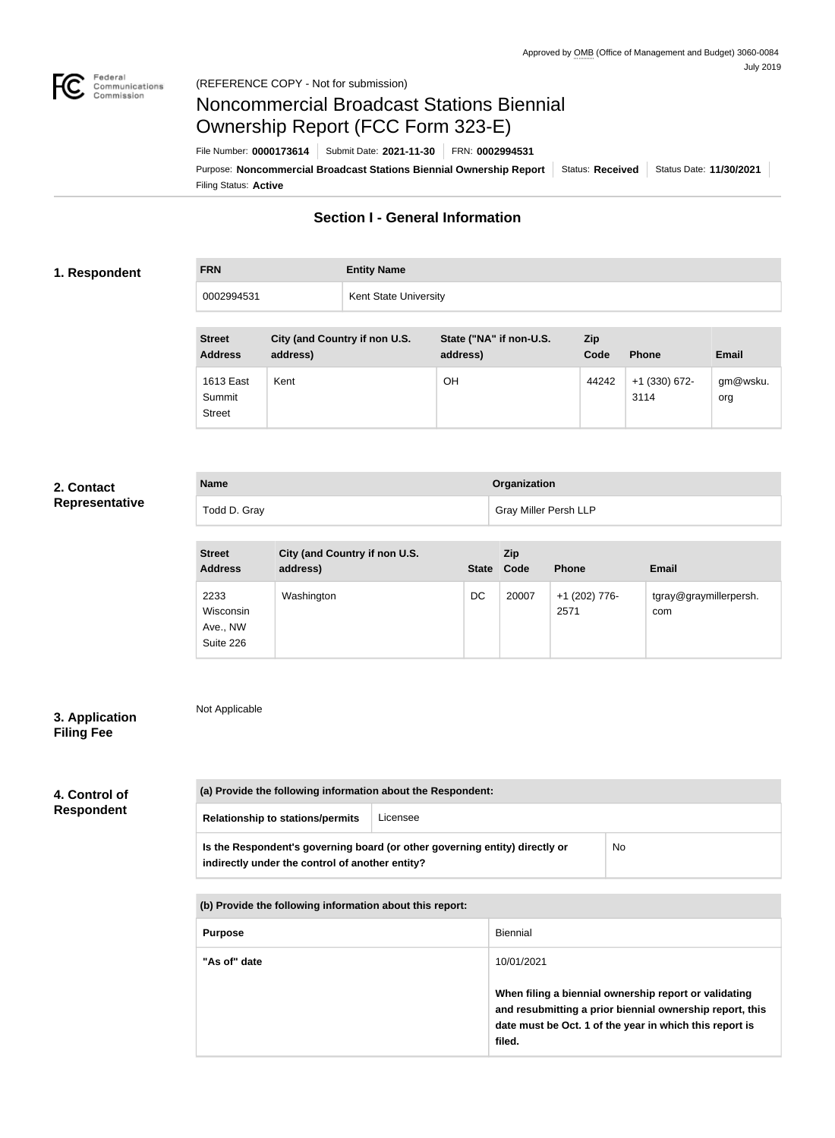

# Noncommercial Broadcast Stations Biennial Ownership Report (FCC Form 323-E)

Filing Status: **Active** Purpose: Noncommercial Broadcast Stations Biennial Ownership Report | Status: Received | Status Date: 11/30/2021 File Number: **0000173614** Submit Date: **2021-11-30** FRN: **0002994531**

## **Section I - General Information**

#### **1. Respondent**

**FRN Entity Name** 0002994531 Kent State University

| <b>Street</b><br><b>Address</b>      | City (and Country if non U.S.<br>address) | State ("NA" if non-U.S.<br>address) | Zip<br>Code | <b>Phone</b>          | <b>Email</b>    |
|--------------------------------------|-------------------------------------------|-------------------------------------|-------------|-----------------------|-----------------|
| 1613 East<br>Summit<br><b>Street</b> | Kent                                      | ΟH                                  | 44242       | +1 (330) 672-<br>3114 | gm@wsku.<br>org |

### **2. Contact Representative**

| <b>Name</b>  | Organization                 |
|--------------|------------------------------|
| Todd D. Gray | <b>Gray Miller Persh LLP</b> |

| <b>Street</b><br><b>Address</b>            | City (and Country if non U.S.<br>address) | State Code | <b>Zip</b> | <b>Phone</b>          | <b>Email</b>                  |
|--------------------------------------------|-------------------------------------------|------------|------------|-----------------------|-------------------------------|
| 2233<br>Wisconsin<br>Ave., NW<br>Suite 226 | Washington                                | DC         | 20007      | +1 (202) 776-<br>2571 | tgray@graymillerpersh.<br>com |

## **3. Application Filing Fee**

Not Applicable

| 4. Control of     |  |
|-------------------|--|
| <b>Respondent</b> |  |

| (a) Provide the following information about the Respondent:                                                                          |          |  |  |  |  |  |
|--------------------------------------------------------------------------------------------------------------------------------------|----------|--|--|--|--|--|
| <b>Relationship to stations/permits</b>                                                                                              | Licensee |  |  |  |  |  |
| Is the Respondent's governing board (or other governing entity) directly or<br>No<br>indirectly under the control of another entity? |          |  |  |  |  |  |
| (b) Provide the following information about this report:                                                                             |          |  |  |  |  |  |
| <b>Diannial</b><br><b>DURAAA</b>                                                                                                     |          |  |  |  |  |  |

| <b>Purpose</b> | <b>Biennial</b>                                                                                                                                                                        |
|----------------|----------------------------------------------------------------------------------------------------------------------------------------------------------------------------------------|
| "As of" date   | 10/01/2021                                                                                                                                                                             |
|                | When filing a biennial ownership report or validating<br>and resubmitting a prior biennial ownership report, this<br>date must be Oct. 1 of the year in which this report is<br>filed. |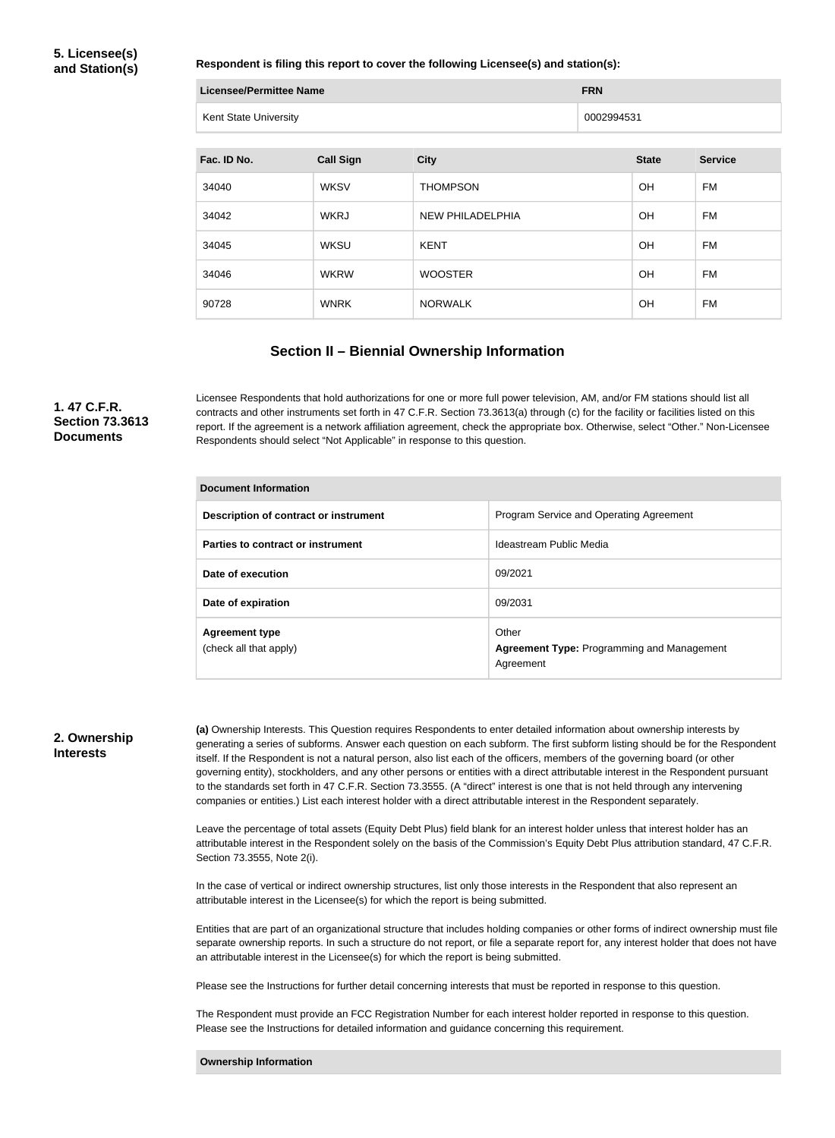#### **Respondent is filing this report to cover the following Licensee(s) and station(s):**

| Licensee/Permittee Name | <b>FRN</b> |
|-------------------------|------------|
| Kent State University   | 0002994531 |

| Fac. ID No. | <b>Call Sign</b> | <b>City</b>             | <b>State</b> | <b>Service</b> |
|-------------|------------------|-------------------------|--------------|----------------|
| 34040       | <b>WKSV</b>      | <b>THOMPSON</b>         | <b>OH</b>    | <b>FM</b>      |
| 34042       | <b>WKRJ</b>      | <b>NEW PHILADELPHIA</b> | <b>OH</b>    | <b>FM</b>      |
| 34045       | <b>WKSU</b>      | <b>KENT</b>             | <b>OH</b>    | <b>FM</b>      |
| 34046       | <b>WKRW</b>      | <b>WOOSTER</b>          | <b>OH</b>    | FM             |
| 90728       | <b>WNRK</b>      | <b>NORWALK</b>          | <b>OH</b>    | FM             |

#### **Section II – Biennial Ownership Information**

#### **1. 47 C.F.R. Section 73.3613 Documents**

Licensee Respondents that hold authorizations for one or more full power television, AM, and/or FM stations should list all contracts and other instruments set forth in 47 C.F.R. Section 73.3613(a) through (c) for the facility or facilities listed on this report. If the agreement is a network affiliation agreement, check the appropriate box. Otherwise, select "Other." Non-Licensee Respondents should select "Not Applicable" in response to this question.

| <b>Document Information</b>                     |                                                                         |  |  |  |
|-------------------------------------------------|-------------------------------------------------------------------------|--|--|--|
| Description of contract or instrument           | Program Service and Operating Agreement                                 |  |  |  |
| Parties to contract or instrument               | Ideastream Public Media                                                 |  |  |  |
| Date of execution                               | 09/2021                                                                 |  |  |  |
| Date of expiration                              | 09/2031                                                                 |  |  |  |
| <b>Agreement type</b><br>(check all that apply) | Other<br><b>Agreement Type: Programming and Management</b><br>Agreement |  |  |  |

#### **2. Ownership Interests**

**(a)** Ownership Interests. This Question requires Respondents to enter detailed information about ownership interests by generating a series of subforms. Answer each question on each subform. The first subform listing should be for the Respondent itself. If the Respondent is not a natural person, also list each of the officers, members of the governing board (or other governing entity), stockholders, and any other persons or entities with a direct attributable interest in the Respondent pursuant to the standards set forth in 47 C.F.R. Section 73.3555. (A "direct" interest is one that is not held through any intervening companies or entities.) List each interest holder with a direct attributable interest in the Respondent separately.

Leave the percentage of total assets (Equity Debt Plus) field blank for an interest holder unless that interest holder has an attributable interest in the Respondent solely on the basis of the Commission's Equity Debt Plus attribution standard, 47 C.F.R. Section 73.3555, Note 2(i).

In the case of vertical or indirect ownership structures, list only those interests in the Respondent that also represent an attributable interest in the Licensee(s) for which the report is being submitted.

Entities that are part of an organizational structure that includes holding companies or other forms of indirect ownership must file separate ownership reports. In such a structure do not report, or file a separate report for, any interest holder that does not have an attributable interest in the Licensee(s) for which the report is being submitted.

Please see the Instructions for further detail concerning interests that must be reported in response to this question.

The Respondent must provide an FCC Registration Number for each interest holder reported in response to this question. Please see the Instructions for detailed information and guidance concerning this requirement.

**Ownership Information**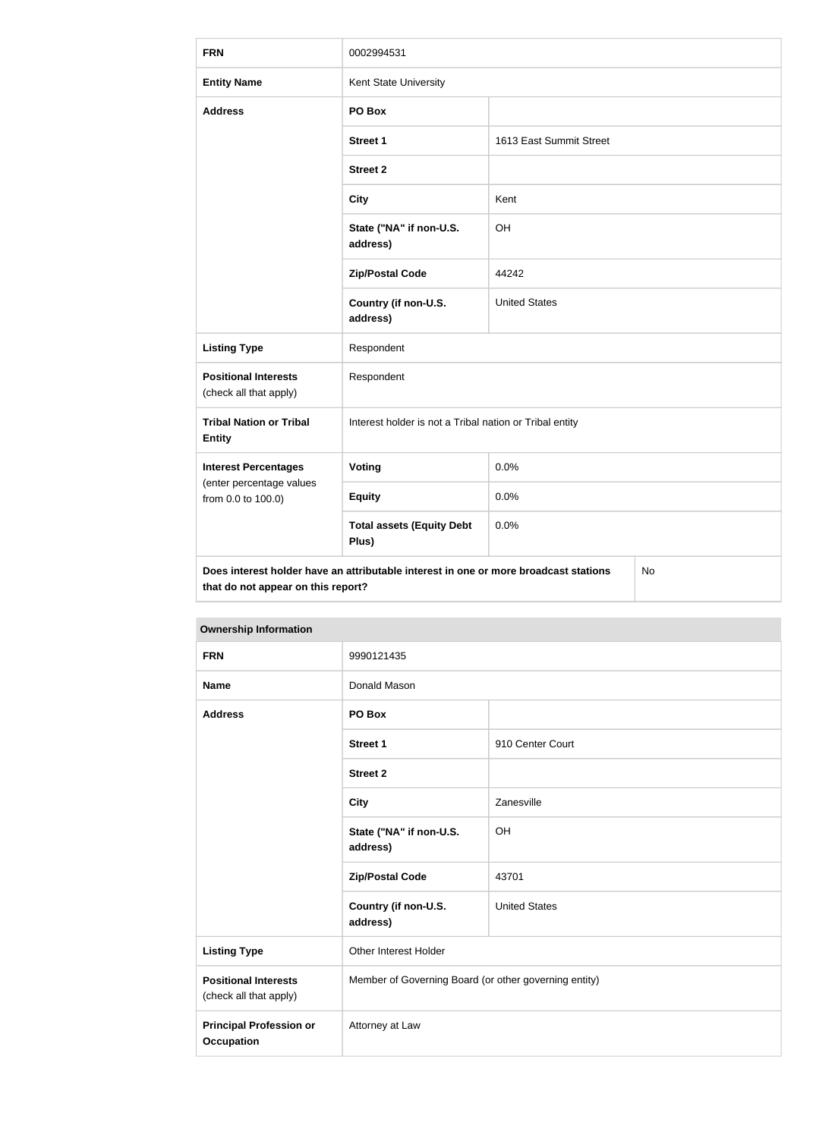| <b>FRN</b>                                            | 0002994531                                                                           |                         |           |  |
|-------------------------------------------------------|--------------------------------------------------------------------------------------|-------------------------|-----------|--|
| <b>Entity Name</b>                                    | Kent State University                                                                |                         |           |  |
| <b>Address</b>                                        | PO Box                                                                               |                         |           |  |
|                                                       | <b>Street 1</b>                                                                      | 1613 East Summit Street |           |  |
|                                                       | <b>Street 2</b>                                                                      |                         |           |  |
|                                                       | <b>City</b>                                                                          | Kent                    |           |  |
|                                                       | State ("NA" if non-U.S.<br>address)                                                  | OH                      |           |  |
|                                                       | <b>Zip/Postal Code</b>                                                               | 44242                   |           |  |
|                                                       | Country (if non-U.S.<br>address)                                                     | <b>United States</b>    |           |  |
| <b>Listing Type</b>                                   | Respondent                                                                           |                         |           |  |
| <b>Positional Interests</b><br>(check all that apply) | Respondent                                                                           |                         |           |  |
| <b>Tribal Nation or Tribal</b><br><b>Entity</b>       | Interest holder is not a Tribal nation or Tribal entity                              |                         |           |  |
| <b>Interest Percentages</b>                           | <b>Voting</b>                                                                        | 0.0%                    |           |  |
| (enter percentage values<br>from 0.0 to 100.0)        | <b>Equity</b>                                                                        | 0.0%                    |           |  |
|                                                       | <b>Total assets (Equity Debt</b><br>Plus)                                            | 0.0%                    |           |  |
| that do not appear on this report?                    | Does interest holder have an attributable interest in one or more broadcast stations |                         | <b>No</b> |  |

| <b>FRN</b>                                            | 9990121435                          |                                                       |  |  |
|-------------------------------------------------------|-------------------------------------|-------------------------------------------------------|--|--|
| <b>Name</b>                                           | Donald Mason                        |                                                       |  |  |
| <b>Address</b>                                        | PO Box                              |                                                       |  |  |
|                                                       | <b>Street 1</b>                     | 910 Center Court                                      |  |  |
|                                                       | <b>Street 2</b>                     |                                                       |  |  |
|                                                       | <b>City</b>                         | Zanesville                                            |  |  |
|                                                       | State ("NA" if non-U.S.<br>address) | OH                                                    |  |  |
|                                                       | <b>Zip/Postal Code</b>              | 43701                                                 |  |  |
|                                                       | Country (if non-U.S.<br>address)    | <b>United States</b>                                  |  |  |
| <b>Listing Type</b>                                   | Other Interest Holder               |                                                       |  |  |
| <b>Positional Interests</b><br>(check all that apply) |                                     | Member of Governing Board (or other governing entity) |  |  |
| <b>Principal Profession or</b><br><b>Occupation</b>   | Attorney at Law                     |                                                       |  |  |

#### **Ownership Information**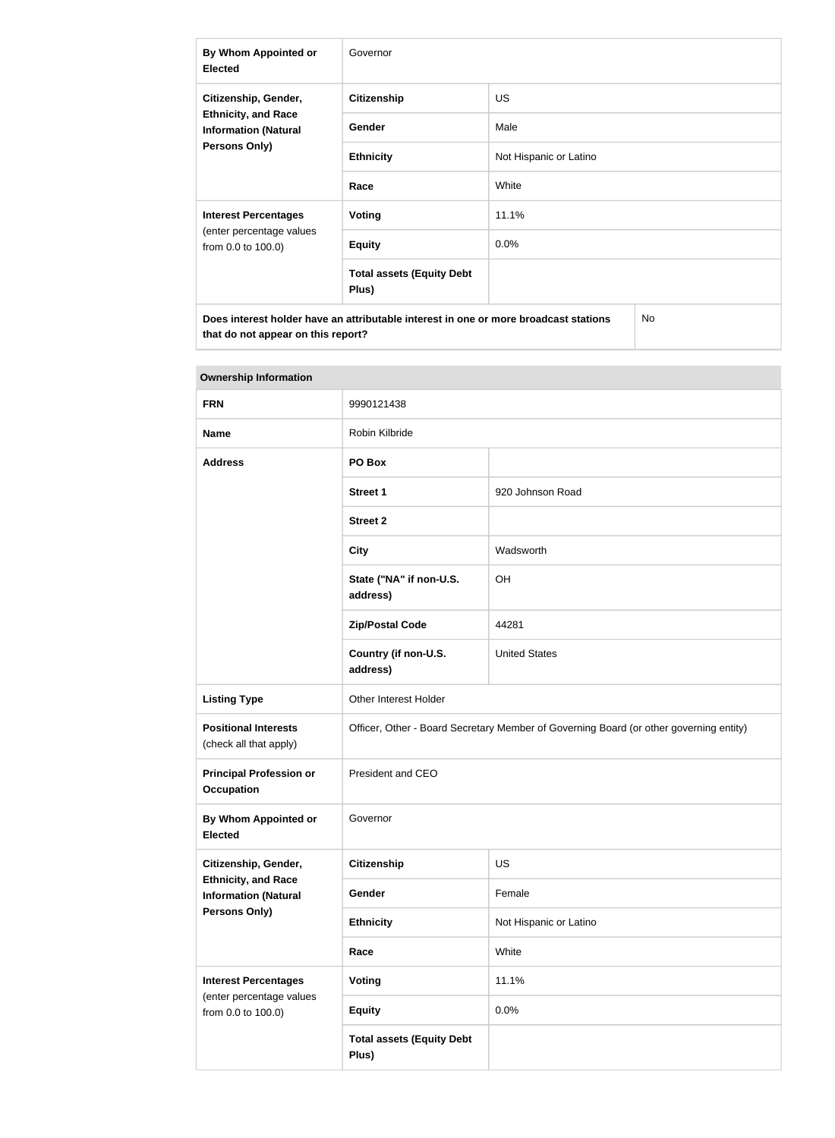| By Whom Appointed or<br><b>Elected</b>                                                     | Governor                                  |                        |  |
|--------------------------------------------------------------------------------------------|-------------------------------------------|------------------------|--|
| Citizenship, Gender,                                                                       | <b>Citizenship</b>                        | <b>US</b>              |  |
| <b>Ethnicity, and Race</b><br><b>Information (Natural</b>                                  | <b>Gender</b>                             | Male                   |  |
| <b>Persons Only)</b>                                                                       | <b>Ethnicity</b>                          | Not Hispanic or Latino |  |
|                                                                                            | Race                                      | White                  |  |
| <b>Interest Percentages</b>                                                                | Voting                                    | 11.1%                  |  |
| (enter percentage values<br>from 0.0 to 100.0)                                             | <b>Equity</b>                             | 0.0%                   |  |
|                                                                                            | <b>Total assets (Equity Debt</b><br>Plus) |                        |  |
| Does interest holder have an attributable interest in one or more broadcast stations<br>No |                                           |                        |  |

| <b>Ownership Information</b>                              |                                                                                        |                        |  |
|-----------------------------------------------------------|----------------------------------------------------------------------------------------|------------------------|--|
| <b>FRN</b>                                                | 9990121438                                                                             |                        |  |
| <b>Name</b>                                               | Robin Kilbride                                                                         |                        |  |
| <b>Address</b>                                            | PO Box                                                                                 |                        |  |
|                                                           | <b>Street 1</b>                                                                        | 920 Johnson Road       |  |
|                                                           | <b>Street 2</b>                                                                        |                        |  |
|                                                           | <b>City</b>                                                                            | Wadsworth              |  |
|                                                           | State ("NA" if non-U.S.<br>address)                                                    | OH                     |  |
|                                                           | <b>Zip/Postal Code</b>                                                                 | 44281                  |  |
|                                                           | Country (if non-U.S.<br>address)                                                       | <b>United States</b>   |  |
| <b>Listing Type</b>                                       | Other Interest Holder                                                                  |                        |  |
| <b>Positional Interests</b><br>(check all that apply)     | Officer, Other - Board Secretary Member of Governing Board (or other governing entity) |                        |  |
| <b>Principal Profession or</b><br><b>Occupation</b>       | President and CEO                                                                      |                        |  |
| By Whom Appointed or<br><b>Elected</b>                    | Governor                                                                               |                        |  |
| Citizenship, Gender,                                      | Citizenship                                                                            | <b>US</b>              |  |
| <b>Ethnicity, and Race</b><br><b>Information (Natural</b> | Gender                                                                                 | Female                 |  |
| <b>Persons Only)</b>                                      | <b>Ethnicity</b>                                                                       | Not Hispanic or Latino |  |
|                                                           | Race                                                                                   | White                  |  |
| <b>Interest Percentages</b>                               | <b>Voting</b>                                                                          | 11.1%                  |  |
| (enter percentage values<br>from 0.0 to 100.0)            | <b>Equity</b>                                                                          | 0.0%                   |  |
|                                                           | <b>Total assets (Equity Debt</b><br>Plus)                                              |                        |  |

**that do not appear on this report?**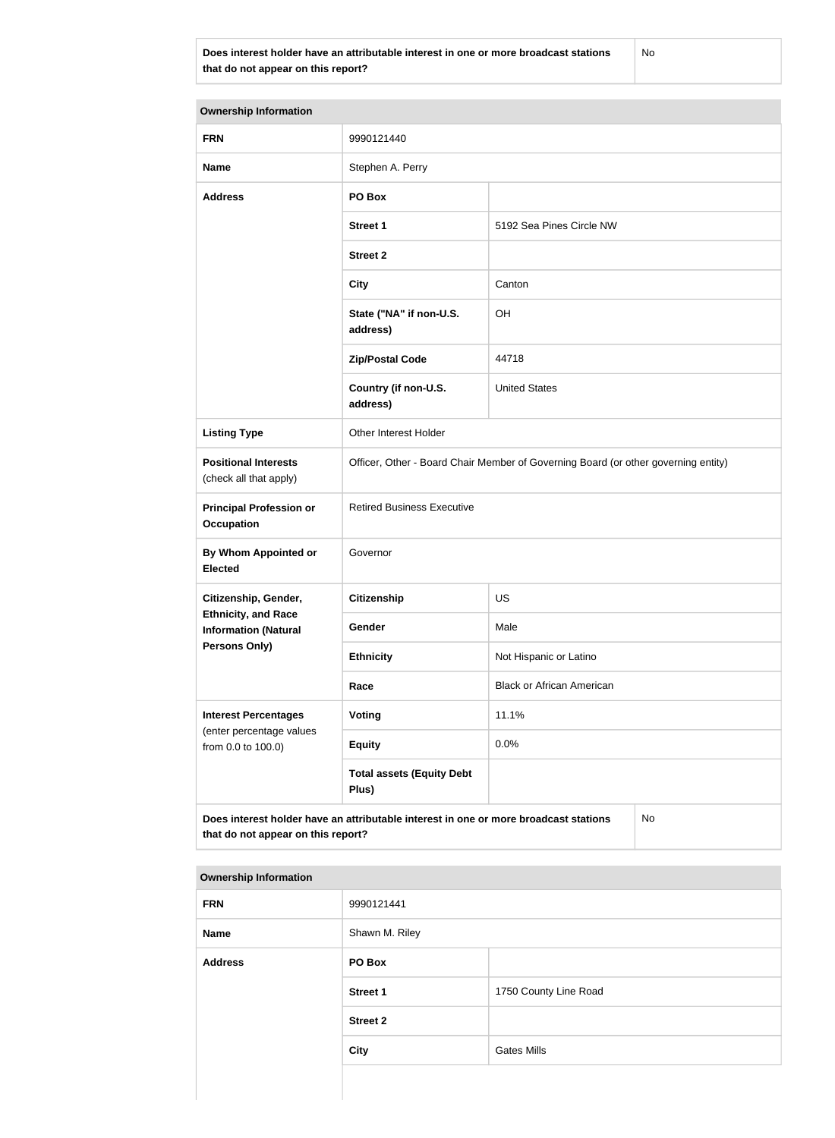**Does interest holder have an attributable interest in one or more broadcast stations that do not appear on this report?**

No

| <b>Ownership Information</b>                              |                                                                                      |                                  |  |
|-----------------------------------------------------------|--------------------------------------------------------------------------------------|----------------------------------|--|
| <b>FRN</b>                                                | 9990121440                                                                           |                                  |  |
| <b>Name</b>                                               | Stephen A. Perry                                                                     |                                  |  |
| <b>Address</b>                                            | PO Box                                                                               |                                  |  |
|                                                           | <b>Street 1</b>                                                                      | 5192 Sea Pines Circle NW         |  |
|                                                           | <b>Street 2</b>                                                                      |                                  |  |
|                                                           | <b>City</b>                                                                          | Canton                           |  |
|                                                           | State ("NA" if non-U.S.<br>address)                                                  | OH                               |  |
|                                                           | <b>Zip/Postal Code</b>                                                               | 44718                            |  |
|                                                           | Country (if non-U.S.<br>address)                                                     | <b>United States</b>             |  |
| <b>Listing Type</b>                                       | Other Interest Holder                                                                |                                  |  |
| <b>Positional Interests</b><br>(check all that apply)     | Officer, Other - Board Chair Member of Governing Board (or other governing entity)   |                                  |  |
| <b>Principal Profession or</b><br><b>Occupation</b>       | <b>Retired Business Executive</b>                                                    |                                  |  |
| By Whom Appointed or<br><b>Elected</b>                    | Governor                                                                             |                                  |  |
| Citizenship, Gender,                                      | <b>Citizenship</b>                                                                   | <b>US</b>                        |  |
| <b>Ethnicity, and Race</b><br><b>Information (Natural</b> | Gender                                                                               | Male                             |  |
| Persons Only)                                             | <b>Ethnicity</b>                                                                     | Not Hispanic or Latino           |  |
|                                                           | Race                                                                                 | <b>Black or African American</b> |  |
| <b>Interest Percentages</b>                               | Voting                                                                               | 11.1%                            |  |
| (enter percentage values<br>from 0.0 to 100.0)            | <b>Equity</b>                                                                        | 0.0%                             |  |
|                                                           | <b>Total assets (Equity Debt</b><br>Plus)                                            |                                  |  |
| that do not appear on this report?                        | Does interest holder have an attributable interest in one or more broadcast stations | No                               |  |

#### **Ownership Information**

| <b>FRN</b>     | 9990121441      |                       |
|----------------|-----------------|-----------------------|
| Name           | Shawn M. Riley  |                       |
| <b>Address</b> | PO Box          |                       |
|                | <b>Street 1</b> | 1750 County Line Road |
|                | <b>Street 2</b> |                       |
|                | <b>City</b>     | <b>Gates Mills</b>    |
|                |                 |                       |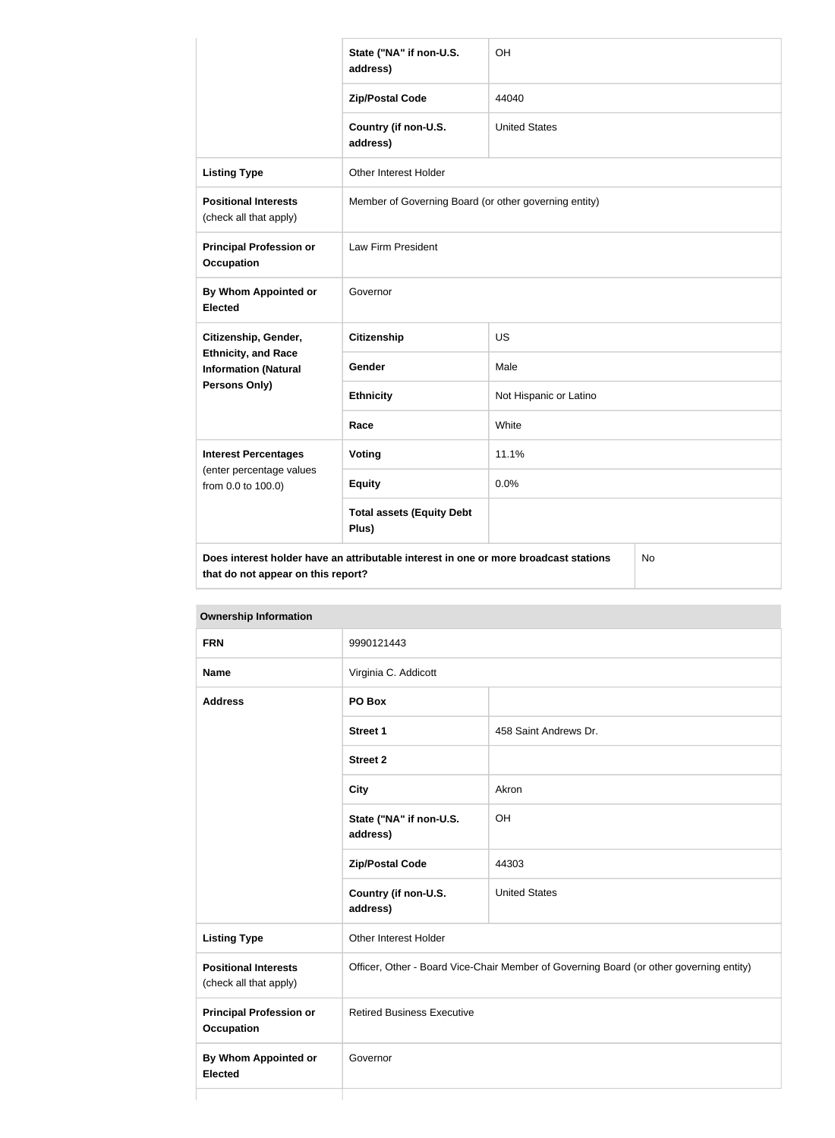|                                                           | State ("NA" if non-U.S.<br>address)                                                  | OH                     |           |
|-----------------------------------------------------------|--------------------------------------------------------------------------------------|------------------------|-----------|
|                                                           | <b>Zip/Postal Code</b>                                                               | 44040                  |           |
|                                                           | Country (if non-U.S.<br>address)                                                     | <b>United States</b>   |           |
| <b>Listing Type</b>                                       | Other Interest Holder                                                                |                        |           |
| <b>Positional Interests</b><br>(check all that apply)     | Member of Governing Board (or other governing entity)                                |                        |           |
| <b>Principal Profession or</b><br><b>Occupation</b>       | Law Firm President                                                                   |                        |           |
| <b>By Whom Appointed or</b><br><b>Elected</b>             | Governor                                                                             |                        |           |
| Citizenship, Gender,                                      | <b>Citizenship</b>                                                                   | US                     |           |
| <b>Ethnicity, and Race</b><br><b>Information (Natural</b> | Gender                                                                               | Male                   |           |
| Persons Only)                                             | <b>Ethnicity</b>                                                                     | Not Hispanic or Latino |           |
|                                                           | Race                                                                                 | White                  |           |
| <b>Interest Percentages</b>                               | <b>Voting</b>                                                                        | 11.1%                  |           |
| (enter percentage values<br>from 0.0 to 100.0)            | <b>Equity</b>                                                                        | 0.0%                   |           |
|                                                           | <b>Total assets (Equity Debt</b><br>Plus)                                            |                        |           |
| that do not appear on this report?                        | Does interest holder have an attributable interest in one or more broadcast stations |                        | <b>No</b> |

**Ownership Information FRN** 9990121443 **Name Virginia C. Addicott Address PO Box Street 1** 458 Saint Andrews Dr. **Street 2 City** Akron **State ("NA" if non-U.S. address)** OH **Zip/Postal Code** 44303 **Country (if non-U.S. address)** United States **Listing Type Communist Communist Property** Other Interest Holder **Positional Interests** (check all that apply) Officer, Other - Board Vice-Chair Member of Governing Board (or other governing entity) **Principal Profession or Occupation** Retired Business Executive **By Whom Appointed or Elected** Governor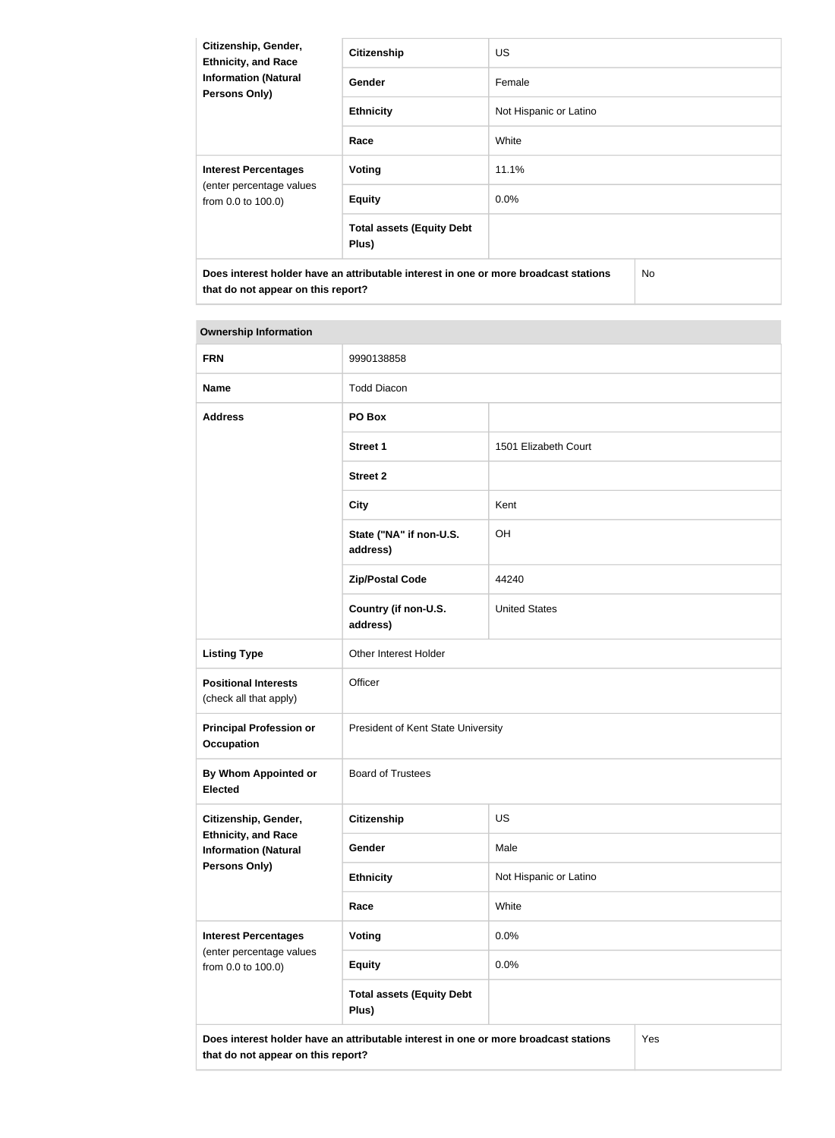| Citizenship, Gender,<br><b>Ethnicity, and Race</b><br><b>Information (Natural</b><br><b>Persons Only)</b> | <b>Citizenship</b>                        | <b>US</b>              |     |
|-----------------------------------------------------------------------------------------------------------|-------------------------------------------|------------------------|-----|
|                                                                                                           | Gender                                    | Female                 |     |
|                                                                                                           | <b>Ethnicity</b>                          | Not Hispanic or Latino |     |
|                                                                                                           | Race                                      | White                  |     |
| <b>Interest Percentages</b><br>(enter percentage values<br>from 0.0 to 100.0)                             | <b>Voting</b>                             | 11.1%                  |     |
|                                                                                                           | <b>Equity</b>                             | $0.0\%$                |     |
|                                                                                                           | <b>Total assets (Equity Debt</b><br>Plus) |                        |     |
| Does interest holder have an attributable interest in one or more broadcast stations                      |                                           |                        | No. |

# **Ownership Information**

**that do not appear on this report?**

| <b>FRN</b>                                                | 9990138858                                                                           |                        |  |
|-----------------------------------------------------------|--------------------------------------------------------------------------------------|------------------------|--|
| <b>Name</b>                                               | <b>Todd Diacon</b>                                                                   |                        |  |
|                                                           |                                                                                      |                        |  |
| <b>Address</b>                                            | PO Box                                                                               |                        |  |
|                                                           | <b>Street 1</b>                                                                      | 1501 Elizabeth Court   |  |
|                                                           | <b>Street 2</b>                                                                      |                        |  |
|                                                           | <b>City</b>                                                                          | Kent                   |  |
|                                                           | State ("NA" if non-U.S.<br>address)                                                  | OH                     |  |
|                                                           | <b>Zip/Postal Code</b>                                                               | 44240                  |  |
|                                                           | Country (if non-U.S.<br>address)                                                     | <b>United States</b>   |  |
| <b>Listing Type</b>                                       | Other Interest Holder                                                                |                        |  |
| <b>Positional Interests</b><br>(check all that apply)     | Officer                                                                              |                        |  |
| <b>Principal Profession or</b><br><b>Occupation</b>       | President of Kent State University                                                   |                        |  |
| <b>By Whom Appointed or</b><br><b>Elected</b>             | <b>Board of Trustees</b>                                                             |                        |  |
| Citizenship, Gender,                                      | Citizenship                                                                          | <b>US</b>              |  |
| <b>Ethnicity, and Race</b><br><b>Information (Natural</b> | Gender                                                                               | Male                   |  |
| <b>Persons Only)</b>                                      | <b>Ethnicity</b>                                                                     | Not Hispanic or Latino |  |
|                                                           | Race                                                                                 | White                  |  |
| <b>Interest Percentages</b>                               | <b>Voting</b>                                                                        | 0.0%                   |  |
| (enter percentage values<br>from 0.0 to 100.0)            | <b>Equity</b>                                                                        | 0.0%                   |  |
|                                                           | <b>Total assets (Equity Debt</b><br>Plus)                                            |                        |  |
| that do not appear on this report?                        | Does interest holder have an attributable interest in one or more broadcast stations | Yes                    |  |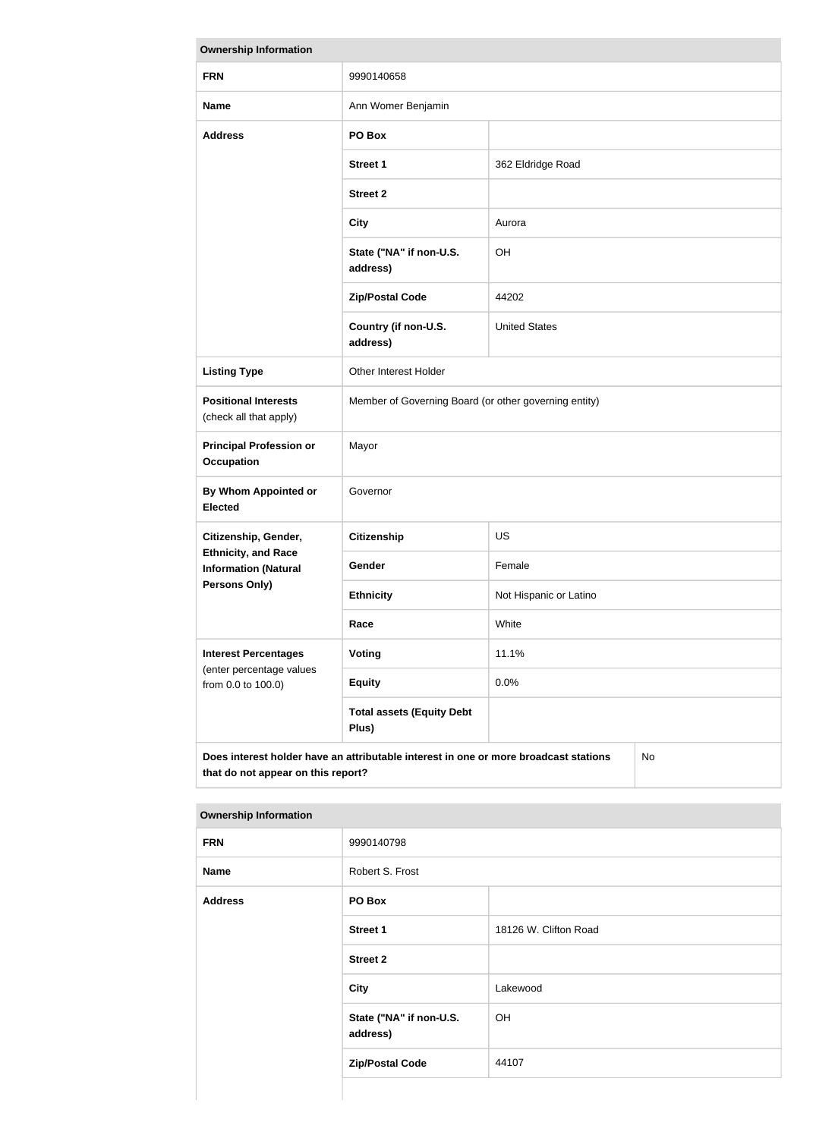| <b>Ownership Information</b>                                                                                                            |                                                       |                        |  |
|-----------------------------------------------------------------------------------------------------------------------------------------|-------------------------------------------------------|------------------------|--|
| <b>FRN</b>                                                                                                                              | 9990140658                                            |                        |  |
| <b>Name</b>                                                                                                                             | Ann Womer Benjamin                                    |                        |  |
| <b>Address</b>                                                                                                                          | PO Box                                                |                        |  |
|                                                                                                                                         | <b>Street 1</b>                                       | 362 Eldridge Road      |  |
|                                                                                                                                         | <b>Street 2</b>                                       |                        |  |
|                                                                                                                                         | <b>City</b>                                           | Aurora                 |  |
|                                                                                                                                         | State ("NA" if non-U.S.<br>address)                   | OH                     |  |
|                                                                                                                                         | <b>Zip/Postal Code</b>                                | 44202                  |  |
|                                                                                                                                         | Country (if non-U.S.<br>address)                      | <b>United States</b>   |  |
| <b>Listing Type</b>                                                                                                                     | Other Interest Holder                                 |                        |  |
| <b>Positional Interests</b><br>(check all that apply)                                                                                   | Member of Governing Board (or other governing entity) |                        |  |
| <b>Principal Profession or</b><br><b>Occupation</b>                                                                                     | Mayor                                                 |                        |  |
| By Whom Appointed or<br><b>Elected</b>                                                                                                  | Governor                                              |                        |  |
| Citizenship, Gender,                                                                                                                    | <b>Citizenship</b>                                    | <b>US</b>              |  |
| <b>Ethnicity, and Race</b><br><b>Information (Natural</b>                                                                               | Gender                                                | Female                 |  |
| <b>Persons Only)</b>                                                                                                                    | <b>Ethnicity</b>                                      | Not Hispanic or Latino |  |
|                                                                                                                                         | Race                                                  | White                  |  |
| <b>Interest Percentages</b><br>(enter percentage values                                                                                 | <b>Voting</b>                                         | 11.1%                  |  |
| from 0.0 to 100.0)                                                                                                                      | <b>Equity</b>                                         | 0.0%                   |  |
|                                                                                                                                         | <b>Total assets (Equity Debt</b><br>Plus)             |                        |  |
| Does interest holder have an attributable interest in one or more broadcast stations<br><b>No</b><br>that do not appear on this report? |                                                       |                        |  |

| <b>FRN</b>     | 9990140798                          |                       |  |
|----------------|-------------------------------------|-----------------------|--|
| <b>Name</b>    | Robert S. Frost                     |                       |  |
| <b>Address</b> | PO Box                              |                       |  |
|                | Street 1                            | 18126 W. Clifton Road |  |
|                | <b>Street 2</b>                     |                       |  |
|                | <b>City</b>                         | Lakewood              |  |
|                | State ("NA" if non-U.S.<br>address) | OH                    |  |
|                | <b>Zip/Postal Code</b>              | 44107                 |  |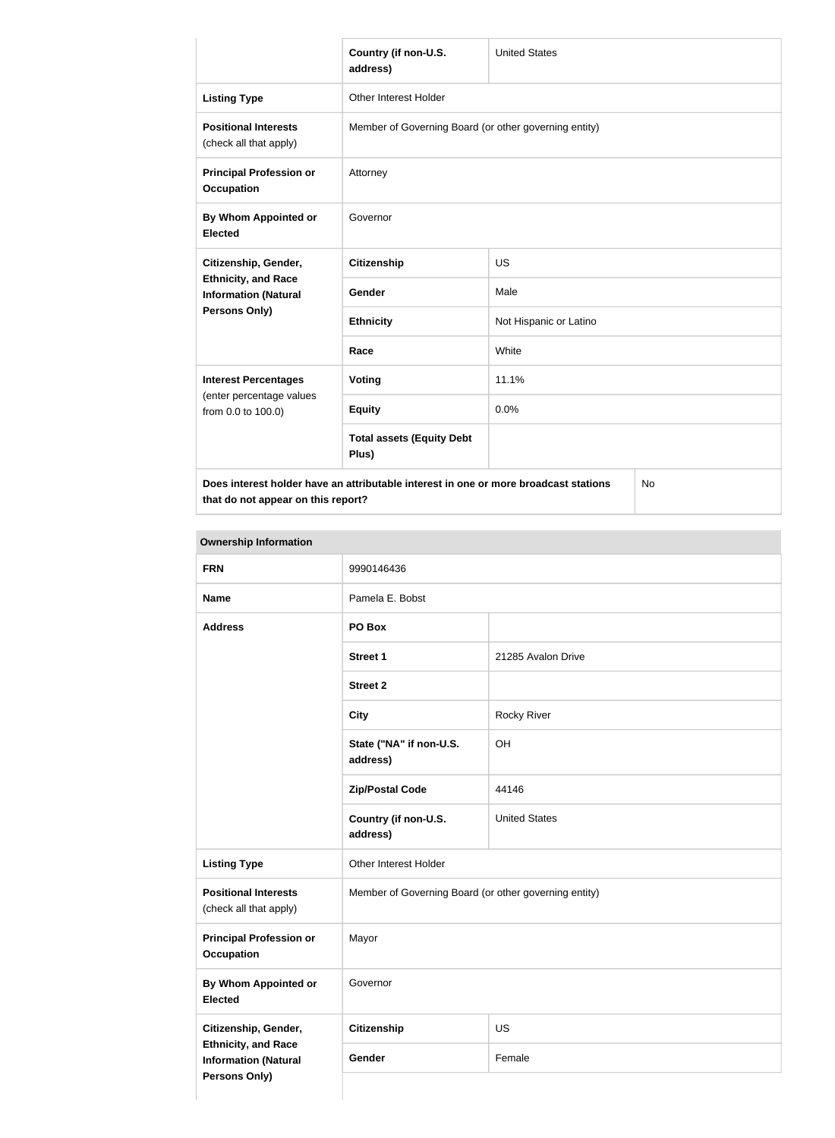|                                                           | Country (if non-U.S.<br>address)                                                           | <b>United States</b>   |  |  |
|-----------------------------------------------------------|--------------------------------------------------------------------------------------------|------------------------|--|--|
| <b>Listing Type</b>                                       | <b>Other Interest Holder</b>                                                               |                        |  |  |
| <b>Positional Interests</b><br>(check all that apply)     | Member of Governing Board (or other governing entity)                                      |                        |  |  |
| <b>Principal Profession or</b><br><b>Occupation</b>       | Attorney                                                                                   |                        |  |  |
| By Whom Appointed or<br><b>Elected</b>                    | Governor                                                                                   |                        |  |  |
| Citizenship, Gender,                                      | <b>Citizenship</b>                                                                         | <b>US</b>              |  |  |
| <b>Ethnicity, and Race</b><br><b>Information (Natural</b> | Gender                                                                                     | Male                   |  |  |
| Persons Only)                                             | <b>Ethnicity</b>                                                                           | Not Hispanic or Latino |  |  |
|                                                           | Race                                                                                       | White                  |  |  |
| <b>Interest Percentages</b>                               | Voting                                                                                     | 11.1%                  |  |  |
| (enter percentage values<br>from 0.0 to 100.0)            | <b>Equity</b>                                                                              | 0.0%                   |  |  |
|                                                           | <b>Total assets (Equity Debt</b><br>Plus)                                                  |                        |  |  |
|                                                           | Does interest holder have an attributable interest in one or more broadcast stations<br>No |                        |  |  |

**that do not appear on this report?**

No

| <b>FRN</b>                                                                 | 9990146436                                            |                      |
|----------------------------------------------------------------------------|-------------------------------------------------------|----------------------|
| <b>Name</b>                                                                | Pamela E. Bobst                                       |                      |
| <b>Address</b>                                                             | PO Box                                                |                      |
|                                                                            | <b>Street 1</b>                                       | 21285 Avalon Drive   |
|                                                                            | <b>Street 2</b>                                       |                      |
|                                                                            | <b>City</b>                                           | Rocky River          |
|                                                                            | State ("NA" if non-U.S.<br>address)                   | OH                   |
|                                                                            | <b>Zip/Postal Code</b>                                | 44146                |
|                                                                            | Country (if non-U.S.<br>address)                      | <b>United States</b> |
| <b>Listing Type</b>                                                        | Other Interest Holder                                 |                      |
| <b>Positional Interests</b><br>(check all that apply)                      | Member of Governing Board (or other governing entity) |                      |
| <b>Principal Profession or</b><br><b>Occupation</b>                        | Mayor                                                 |                      |
| <b>By Whom Appointed or</b><br><b>Elected</b>                              | Governor                                              |                      |
| Citizenship, Gender,                                                       | <b>Citizenship</b>                                    | <b>US</b>            |
| <b>Ethnicity, and Race</b><br><b>Information (Natural</b><br>Persons Only) | Gender                                                | Female               |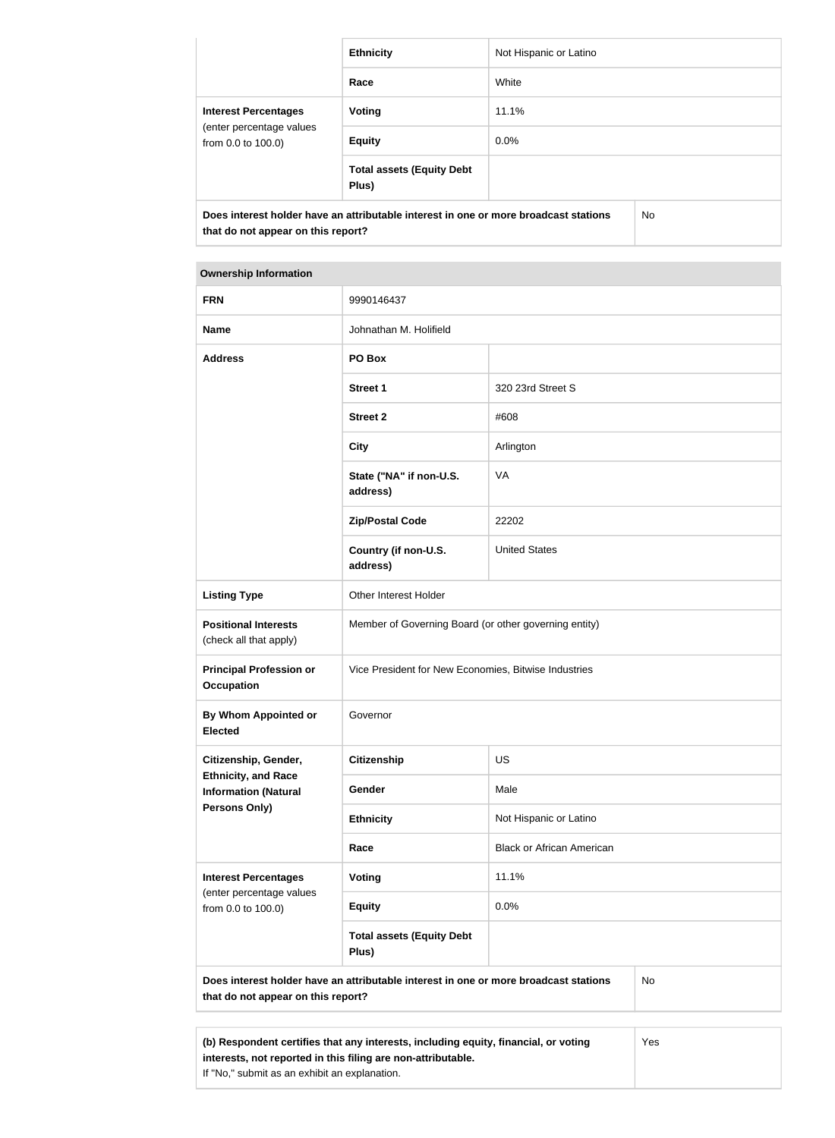|                                                                               | <b>Ethnicity</b>                                                                     | Not Hispanic or Latino |     |
|-------------------------------------------------------------------------------|--------------------------------------------------------------------------------------|------------------------|-----|
|                                                                               |                                                                                      |                        |     |
|                                                                               | Race                                                                                 | White                  |     |
| <b>Interest Percentages</b><br>(enter percentage values<br>from 0.0 to 100.0) | Voting                                                                               | 11.1%                  |     |
|                                                                               | <b>Equity</b>                                                                        | $0.0\%$                |     |
|                                                                               | <b>Total assets (Equity Debt</b><br>Plus)                                            |                        |     |
| that do not appear on this report?                                            | Does interest holder have an attributable interest in one or more broadcast stations |                        | No. |

#### **Ownership Information**

| <b>FRN</b>                                                | 9990146437                                                                           |                                  |    |
|-----------------------------------------------------------|--------------------------------------------------------------------------------------|----------------------------------|----|
| <b>Name</b>                                               | Johnathan M. Holifield                                                               |                                  |    |
| <b>Address</b>                                            | PO Box                                                                               |                                  |    |
|                                                           | <b>Street 1</b>                                                                      | 320 23rd Street S                |    |
|                                                           | <b>Street 2</b>                                                                      | #608                             |    |
|                                                           | <b>City</b>                                                                          | Arlington                        |    |
|                                                           | State ("NA" if non-U.S.<br>address)                                                  | <b>VA</b>                        |    |
|                                                           | <b>Zip/Postal Code</b>                                                               | 22202                            |    |
|                                                           | Country (if non-U.S.<br>address)                                                     | <b>United States</b>             |    |
| <b>Listing Type</b>                                       | Other Interest Holder                                                                |                                  |    |
| <b>Positional Interests</b><br>(check all that apply)     | Member of Governing Board (or other governing entity)                                |                                  |    |
| <b>Principal Profession or</b><br><b>Occupation</b>       | Vice President for New Economies, Bitwise Industries                                 |                                  |    |
| <b>By Whom Appointed or</b><br><b>Elected</b>             | Governor                                                                             |                                  |    |
| Citizenship, Gender,                                      | <b>Citizenship</b>                                                                   | US                               |    |
| <b>Ethnicity, and Race</b><br><b>Information (Natural</b> | Gender                                                                               | Male                             |    |
| <b>Persons Only)</b>                                      | <b>Ethnicity</b>                                                                     | Not Hispanic or Latino           |    |
|                                                           | Race                                                                                 | <b>Black or African American</b> |    |
| <b>Interest Percentages</b><br>(enter percentage values   | <b>Voting</b>                                                                        | 11.1%                            |    |
| from 0.0 to 100.0)                                        | <b>Equity</b>                                                                        | 0.0%                             |    |
|                                                           | <b>Total assets (Equity Debt</b><br>Plus)                                            |                                  |    |
| that do not appear on this report?                        | Does interest holder have an attributable interest in one or more broadcast stations |                                  | No |
|                                                           |                                                                                      |                                  |    |

**(b) Respondent certifies that any interests, including equity, financial, or voting interests, not reported in this filing are non-attributable.** If "No," submit as an exhibit an explanation. Yes